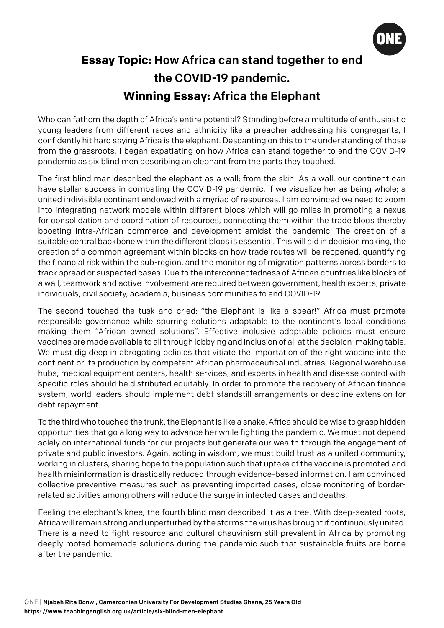

## **Essay Topic:** How Africa can stand together to end the COVID-19 pandemic. **Winning Essay:** Africa the Elephant

Who can fathom the depth of Africa's entire potential? Standing before a multitude of enthusiastic young leaders from different races and ethnicity like a preacher addressing his congregants, I confidently hit hard saying Africa is the elephant. Descanting on this to the understanding of those from the grassroots, I began expatiating on how Africa can stand together to end the COVID-19 pandemic as six blind men describing an elephant from the parts they touched.

The first blind man described the elephant as a wall; from the skin. As a wall, our continent can have stellar success in combating the COVID-19 pandemic, if we visualize her as being whole; a united indivisible continent endowed with a myriad of resources. I am convinced we need to zoom into integrating network models within different blocs which will go miles in promoting a nexus for consolidation and coordination of resources, connecting them within the trade blocs thereby boosting intra-African commerce and development amidst the pandemic. The creation of a suitable central backbone within the different blocs is essential. This will aid in decision making, the creation of a common agreement within blocks on how trade routes will be reopened, quantifying the financial risk within the sub-region, and the monitoring of migration patterns across borders to track spread or suspected cases. Due to the interconnectedness of African countries like blocks of a wall, teamwork and active involvement are required between government, health experts, private individuals, civil society, academia, business communities to end COVID-19.

The second touched the tusk and cried: "the Elephant is like a spear!" Africa must promote responsible governance while spurring solutions adaptable to the continent's local conditions making them "African owned solutions". Effective inclusive adaptable policies must ensure vaccines are made available to all through lobbying and inclusion of all at the decision-making table. We must dig deep in abrogating policies that vitiate the importation of the right vaccine into the continent or its production by competent African pharmaceutical industries. Regional warehouse hubs, medical equipment centers, health services, and experts in health and disease control with specific roles should be distributed equitably. In order to promote the recovery of African finance system, world leaders should implement debt standstill arrangements or deadline extension for debt repayment.

To the third who touched the trunk, the Elephant is like a snake. Africa should be wise to grasp hidden opportunities that go a long way to advance her while fighting the pandemic. We must not depend solely on international funds for our projects but generate our wealth through the engagement of private and public investors. Again, acting in wisdom, we must build trust as a united community, working in clusters, sharing hope to the population such that uptake of the vaccine is promoted and health misinformation is drastically reduced through evidence-based information. I am convinced collective preventive measures such as preventing imported cases, close monitoring of borderrelated activities among others will reduce the surge in infected cases and deaths.

Feeling the elephant's knee, the fourth blind man described it as a tree. With deep-seated roots, Africa will remain strong and unperturbed by the storms the virus has brought if continuously united. There is a need to fight resource and cultural chauvinism still prevalent in Africa by promoting deeply rooted homemade solutions during the pandemic such that sustainable fruits are borne after the pandemic.